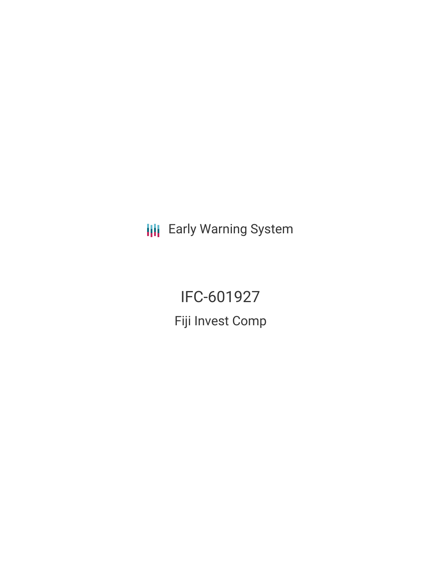**III** Early Warning System

IFC-601927 Fiji Invest Comp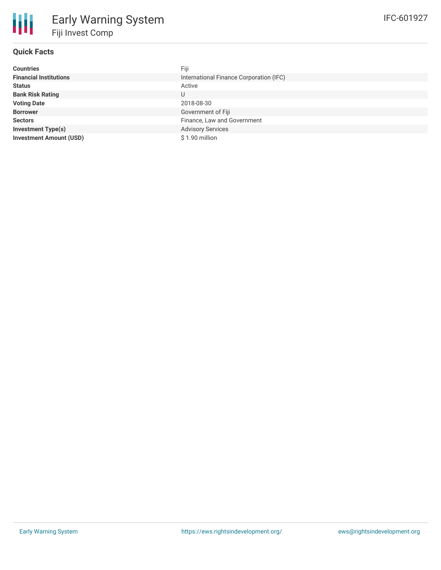## **Quick Facts**

冊

| <b>Countries</b>               | Fiji                                    |
|--------------------------------|-----------------------------------------|
| <b>Financial Institutions</b>  | International Finance Corporation (IFC) |
| <b>Status</b>                  | Active                                  |
| <b>Bank Risk Rating</b>        | U                                       |
| <b>Voting Date</b>             | 2018-08-30                              |
| <b>Borrower</b>                | Government of Fiji                      |
| <b>Sectors</b>                 | Finance, Law and Government             |
| <b>Investment Type(s)</b>      | <b>Advisory Services</b>                |
| <b>Investment Amount (USD)</b> | \$1.90 million                          |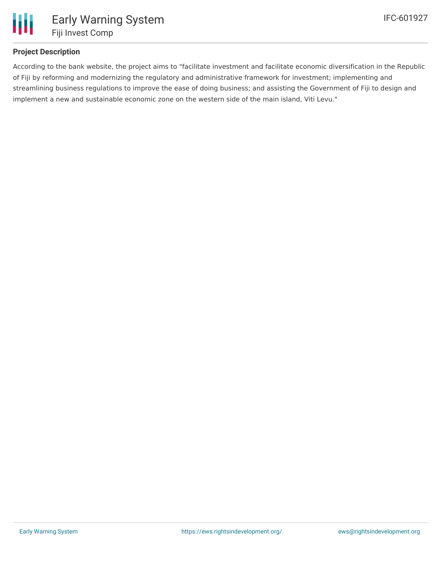

# **Project Description**

According to the bank website, the project aims to "facilitate investment and facilitate economic diversification in the Republic of Fiji by reforming and modernizing the regulatory and administrative framework for investment; implementing and streamlining business regulations to improve the ease of doing business; and assisting the Government of Fiji to design and implement a new and sustainable economic zone on the western side of the main island, Viti Levu."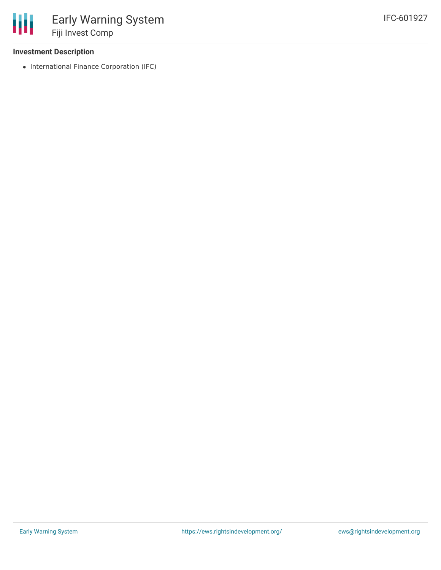### **Investment Description**

• International Finance Corporation (IFC)